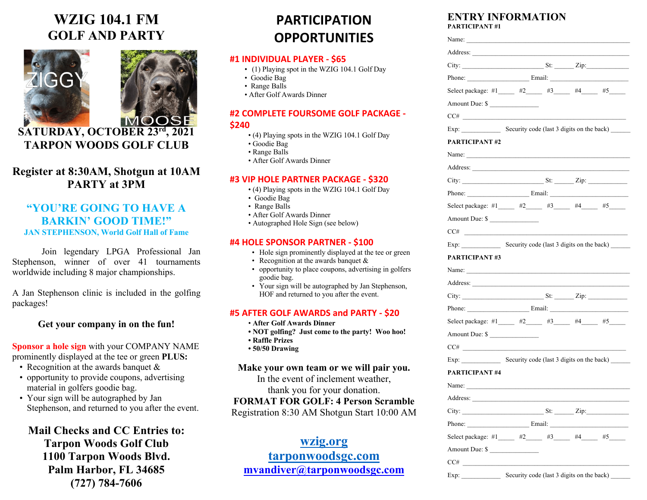# **WZIG 104.1 FM GOLF AND PARTY**





**SATURDAY, OCTOBER 23rd, 2021 TARPON WOODS GOLF CLUB**

# **Register at 8:30AM, Shotgun at 10AM PARTY at 3PM**

## **"YOU'RE GOING TO HAVE A BARKIN' GOOD TIME!" JAN STEPHENSON, World Golf Hall of Fame**

Join legendary LPGA Professional Jan Stephenson, winner of over 41 tournaments worldwide including 8 major championships.

A Jan Stephenson clinic is included in the golfing packages!

#### **Get your company in on the fun!**

#### **Sponsor a hole sign** with your COMPANY NAME prominently displayed at the tee or green **PLUS:**

- Recognition at the awards banquet &
- opportunity to provide coupons, advertising material in golfers goodie bag.
- Your sign will be autographed by Jan Stephenson, and returned to you after the event.

**Mail Checks and CC Entries to: Tarpon Woods Golf Club 1100 Tarpon Woods Blvd. Palm Harbor, FL 34685 (727) 784-7606**

# **PARTICIPATION OPPORTUNITIES**

### **#1 INDIVIDUAL PLAYER - \$65**

- (1) Playing spot in the WZIG 104.1 Golf Day
- Goodie Bag
- Range Balls
- After Golf Awards Dinner

#### **#2 COMPLETE FOURSOME GOLF PACKAGE -**

#### **\$240**

- (4) Playing spots in the WZIG 104.1 Golf Day
- Goodie Bag
- Range Balls
- After Golf Awards Dinner

#### **#3 VIP HOLE PARTNER PACKAGE - \$320**

- (4) Playing spots in the WZIG 104.1 Golf Day
- Goodie Bag
- Range Balls
- After Golf Awards Dinner
- Autographed Hole Sign (see below)

#### **#4 HOLE SPONSOR PARTNER - \$100**

- Hole sign prominently displayed at the tee or green
- Recognition at the awards banquet &
- opportunity to place coupons, advertising in golfers goodie bag.
- Your sign will be autographed by Jan Stephenson, HOF and returned to you after the event.

#### **#5 AFTER GOLF AWARDS and PARTY - \$20**

- **After Golf Awards Dinner**
- **NOT golfing? Just come to the party! Woo hoo!**
- **Raffle Prizes**
- **50/50 Drawing**

#### **Make your own team or we will pair you.**

In the event of inclement weather, thank you for your donation.

## **FORMAT FOR GOLF: 4 Person Scramble**

Registration 8:30 AM Shotgun Start 10:00 AM

**wzig.org tarponwoodsgc.com mvandiver@tarponwoodsgc.com**

#### **ENTRY INFORMATION PARTICIPANT #1**

| Phone: Email: Email:                    |  |                                                              |                                                                                                                                                                                                                                                                                                                                            |
|-----------------------------------------|--|--------------------------------------------------------------|--------------------------------------------------------------------------------------------------------------------------------------------------------------------------------------------------------------------------------------------------------------------------------------------------------------------------------------------|
|                                         |  |                                                              |                                                                                                                                                                                                                                                                                                                                            |
|                                         |  |                                                              |                                                                                                                                                                                                                                                                                                                                            |
|                                         |  |                                                              |                                                                                                                                                                                                                                                                                                                                            |
|                                         |  |                                                              |                                                                                                                                                                                                                                                                                                                                            |
|                                         |  |                                                              |                                                                                                                                                                                                                                                                                                                                            |
|                                         |  |                                                              |                                                                                                                                                                                                                                                                                                                                            |
|                                         |  |                                                              |                                                                                                                                                                                                                                                                                                                                            |
|                                         |  |                                                              |                                                                                                                                                                                                                                                                                                                                            |
|                                         |  |                                                              |                                                                                                                                                                                                                                                                                                                                            |
|                                         |  |                                                              |                                                                                                                                                                                                                                                                                                                                            |
|                                         |  |                                                              |                                                                                                                                                                                                                                                                                                                                            |
|                                         |  |                                                              |                                                                                                                                                                                                                                                                                                                                            |
|                                         |  |                                                              |                                                                                                                                                                                                                                                                                                                                            |
|                                         |  |                                                              |                                                                                                                                                                                                                                                                                                                                            |
|                                         |  |                                                              |                                                                                                                                                                                                                                                                                                                                            |
|                                         |  |                                                              |                                                                                                                                                                                                                                                                                                                                            |
|                                         |  |                                                              |                                                                                                                                                                                                                                                                                                                                            |
|                                         |  |                                                              |                                                                                                                                                                                                                                                                                                                                            |
|                                         |  |                                                              |                                                                                                                                                                                                                                                                                                                                            |
|                                         |  |                                                              |                                                                                                                                                                                                                                                                                                                                            |
|                                         |  |                                                              |                                                                                                                                                                                                                                                                                                                                            |
|                                         |  |                                                              |                                                                                                                                                                                                                                                                                                                                            |
|                                         |  |                                                              |                                                                                                                                                                                                                                                                                                                                            |
|                                         |  |                                                              |                                                                                                                                                                                                                                                                                                                                            |
| Name:                                   |  |                                                              |                                                                                                                                                                                                                                                                                                                                            |
|                                         |  |                                                              |                                                                                                                                                                                                                                                                                                                                            |
|                                         |  |                                                              |                                                                                                                                                                                                                                                                                                                                            |
|                                         |  |                                                              |                                                                                                                                                                                                                                                                                                                                            |
| Select package: #1 $#2$ #3 $#4$ #5 $#5$ |  |                                                              |                                                                                                                                                                                                                                                                                                                                            |
| Amount Due: \$                          |  |                                                              |                                                                                                                                                                                                                                                                                                                                            |
|                                         |  | Amount Due: \$<br>Amount Due: \$<br>$CC\#$<br>Amount Due: \$ | Select package: #1 _____ #2 ____ #3 ____ #4 ____ #5 ___<br>Exp: Security code (last 3 digits on the back)<br>Select package: #1 _____ #2 ____ #3 ____ #4 ____ #5 ___<br>Exp: Security code (last 3 digits on the back)<br>City: $\qquad \qquad \text{St:} \qquad \qquad \text{Zip:}$<br>Select package: #1 _____ #2 ____ #3 ____ #4 ___ #5 |